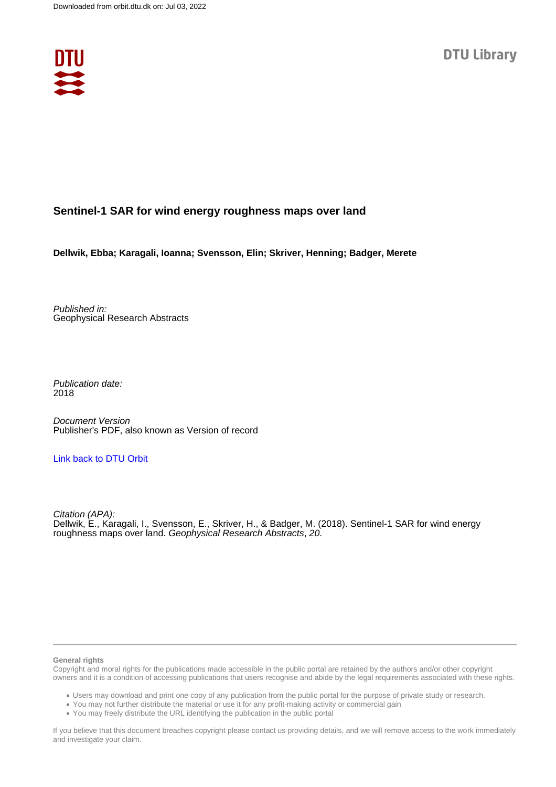

## **Sentinel-1 SAR for wind energy roughness maps over land**

**Dellwik, Ebba; Karagali, Ioanna; Svensson, Elin; Skriver, Henning; Badger, Merete**

Published in: Geophysical Research Abstracts

Publication date: 2018

Document Version Publisher's PDF, also known as Version of record

## [Link back to DTU Orbit](https://orbit.dtu.dk/en/publications/6e13e1d4-6bf9-47b4-8f4d-d891fb76d175)

Citation (APA): Dellwik, E., Karagali, I., Svensson, E., Skriver, H., & Badger, M. (2018). Sentinel-1 SAR for wind energy roughness maps over land. Geophysical Research Abstracts, 20.

## **General rights**

Copyright and moral rights for the publications made accessible in the public portal are retained by the authors and/or other copyright owners and it is a condition of accessing publications that users recognise and abide by the legal requirements associated with these rights.

Users may download and print one copy of any publication from the public portal for the purpose of private study or research.

- You may not further distribute the material or use it for any profit-making activity or commercial gain
- You may freely distribute the URL identifying the publication in the public portal

If you believe that this document breaches copyright please contact us providing details, and we will remove access to the work immediately and investigate your claim.